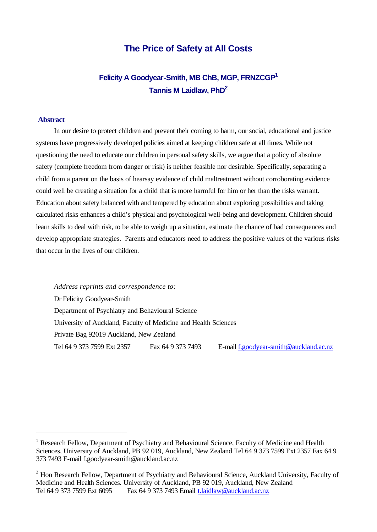# **The Price of Safety at All Costs**

# **Felicity A Goodyear-Smith, MB ChB, MGP, FRNZCGP<sup>1</sup> Tannis M Laidlaw, PhD<sup>2</sup>**

#### **Abstract**

l

In our desire to protect children and prevent their coming to harm, our social, educational and justice systems have progressively developed policies aimed at keeping children safe at all times. While not questioning the need to educate our children in personal safety skills, we argue that a policy of absolute safety (complete freedom from danger or risk) is neither feasible nor desirable. Specifically, separating a child from a parent on the basis of hearsay evidence of child maltreatment without corroborating evidence could well be creating a situation for a child that is more harmful for him or her than the risks warrant. Education about safety balanced with and tempered by education about exploring possibilities and taking calculated risks enhances a child's physical and psychological well-being and development. Children should learn skills to deal with risk, to be able to weigh up a situation, estimate the chance of bad consequences and develop appropriate strategies. Parents and educators need to address the positive values of the various risks that occur in the lives of our children.

*Address reprints and correspondence to:*  Dr Felicity Goodyear-Smith Department of Psychiatry and Behavioural Science University of Auckland, Faculty of Medicine and Health Sciences Private Bag 92019 Auckland, New Zealand Tel 64 9 373 7599 Ext 2357 Fax 64 9 373 7493 E-mail f.goodyear-smith@auckland.ac.nz

 $1$  Research Fellow, Department of Psychiatry and Behavioural Science, Faculty of Medicine and Health Sciences, University of Auckland, PB 92 019, Auckland, New Zealand Tel 64 9 373 7599 Ext 2357 Fax 64 9 373 7493 E-mail f.goodyear-smith@auckland.ac.nz

<sup>&</sup>lt;sup>2</sup> Hon Research Fellow, Department of Psychiatry and Behavioural Science, Auckland University, Faculty of Medicine and Health Sciences. University of Auckland, PB 92 019, Auckland, New Zealand Tel 64 9 373 7599 Ext 6095 Fax 64 9 373 7493 Email t.laidlaw@auckland.ac.nz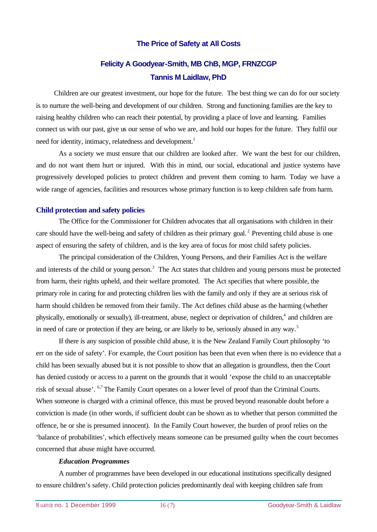## **The Price of Safety at All Costs**

# **Felicity A Goodyear-Smith, MB ChB, MGP, FRNZCGP Tannis M Laidlaw, PhD**

Children are our greatest investment, our hope for the future. The best thing we can do for our society is to nurture the well-being and development of our children. Strong and functioning families are the key to raising healthy children who can reach their potential, by providing a place of love and learning. Families connect us with our past, give us our sense of who we are, and hold our hopes for the future. They fulfil our need for identity, intimacy, relatedness and development.<sup>1</sup>

As a society we must ensure that our children are looked after. We want the best for our children, and do not want them hurt or injured. With this in mind, our social, educational and justice systems have progressively developed policies to protect children and prevent them coming to harm. Today we have a wide range of agencies, facilities and resources whose primary function is to keep children safe from harm.

#### **Child protection and safety policies**

The Office for the Commissioner for Children advocates that all organisations with children in their care should have the well-being and safety of children as their primary goal.<sup>2</sup> Preventing child abuse is one aspect of ensuring the safety of children, and is the key area of focus for most child safety policies.

The principal consideration of the Children, Young Persons, and their Families Act is the welfare and interests of the child or young person.<sup>3</sup> The Act states that children and young persons must be protected from harm, their rights upheld, and their welfare promoted. The Act specifies that where possible, the primary role in caring for and protecting children lies with the family and only if they are at serious risk of harm should children be removed from their family. The Act defines child abuse as the harming (whether physically, emotionally or sexually), ill-treatment, abuse, neglect or deprivation of children,<sup>4</sup> and children are in need of care or protection if they are being, or are likely to be, seriously abused in any way.<sup>5</sup>

If there is any suspicion of possible child abuse, it is the New Zealand Family Court philosophy 'to err on the side of safety'. For example, the Court position has been that even when there is no evidence that a child has been sexually abused but it is not possible to show that an allegation is groundless, then the Court has denied custody or access to a parent on the grounds that it would 'expose the child to an unacceptable risk of sexual abuse'. <sup>6,7</sup> The Family Court operates on a lower level of proof than the Criminal Courts. When someone is charged with a criminal offence, this must be proved beyond reasonable doubt before a conviction is made (in other words, if sufficient doubt can be shown as to whether that person committed the offence, he or she is presumed innocent). In the Family Court however, the burden of proof relies on the 'balance of probabilities', which effectively means someone can be presumed guilty when the court becomes concerned that abuse might have occurred.

#### *Education Programmes*

A number of programmes have been developed in our educational institutions specifically designed to ensure children's safety. Child protection policies predominantly deal with keeping children safe from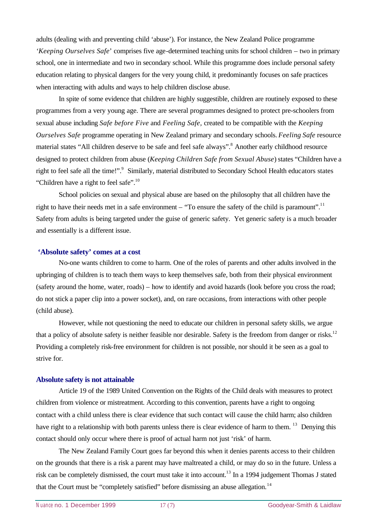adults (dealing with and preventing child 'abuse'). For instance, the New Zealand Police programme *'Keeping Ourselves Safe*' comprises five age-determined teaching units for school children – two in primary school, one in intermediate and two in secondary school. While this programme does include personal safety education relating to physical dangers for the very young child, it predominantly focuses on safe practices when interacting with adults and ways to help children disclose abuse.

In spite of some evidence that children are highly suggestible, children are routinely exposed to these programmes from a very young age. There are several programmes designed to protect pre-schoolers from sexual abuse including *Safe before Five* and *Feeling Safe,* created to be compatible with the *Keeping Ourselves Safe* programme operating in New Zealand primary and secondary schools. *Feeling Safe* resource material states "All children deserve to be safe and feel safe always".<sup>8</sup> Another early childhood resource designed to protect children from abuse (*Keeping Children Safe from Sexual Abuse*) states "Children have a right to feel safe all the time!".<sup>9</sup> Similarly, material distributed to Secondary School Health educators states "Children have a right to feel safe".<sup>10</sup>

School policies on sexual and physical abuse are based on the philosophy that all children have the right to have their needs met in a safe environment – "To ensure the safety of the child is paramount".<sup>11</sup> Safety from adults is being targeted under the guise of generic safety. Yet generic safety is a much broader and essentially is a different issue.

#### **'Absolute safety' comes at a cost**

No-one wants children to come to harm. One of the roles of parents and other adults involved in the upbringing of children is to teach them ways to keep themselves safe, both from their physical environment (safety around the home, water, roads) – how to identify and avoid hazards (look before you cross the road; do not stick a paper clip into a power socket), and, on rare occasions, from interactions with other people (child abuse).

However, while not questioning the need to educate our children in personal safety skills, we argue that a policy of absolute safety is neither feasible nor desirable. Safety is the freedom from danger or risks.<sup>12</sup> Providing a completely risk-free environment for children is not possible, nor should it be seen as a goal to strive for.

#### **Absolute safety is not attainable**

Article 19 of the 1989 United Convention on the Rights of the Child deals with measures to protect children from violence or mistreatment. According to this convention, parents have a right to ongoing contact with a child unless there is clear evidence that such contact will cause the child harm; also children have right to a relationship with both parents unless there is clear evidence of harm to them. <sup>13</sup> Denying this contact should only occur where there is proof of actual harm not just 'risk' of harm.

The New Zealand Family Court goes far beyond this when it denies parents access to their children on the grounds that there is a risk a parent may have maltreated a child, or may do so in the future. Unless a risk can be completely dismissed, the court must take it into account.<sup>13</sup> In a 1994 judgement Thomas J stated that the Court must be "completely satisfied" before dismissing an abuse allegation.<sup>14</sup>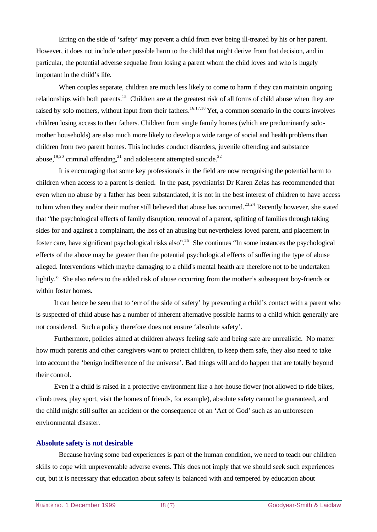Erring on the side of 'safety' may prevent a child from ever being ill-treated by his or her parent. However, it does not include other possible harm to the child that might derive from that decision, and in particular, the potential adverse sequelae from losing a parent whom the child loves and who is hugely important in the child's life.

When couples separate, children are much less likely to come to harm if they can maintain ongoing relationships with both parents.<sup>15</sup> Children are at the greatest risk of all forms of child abuse when they are raised by solo mothers, without input from their fathers.<sup>16,17,18</sup> Yet, a common scenario in the courts involves children losing access to their fathers. Children from single family homes (which are predominantly solomother households) are also much more likely to develop a wide range of social and health problems than children from two parent homes. This includes conduct disorders, juvenile offending and substance abuse,<sup>19,20</sup> criminal offending,<sup>21</sup> and adolescent attempted suicide.<sup>22</sup>

It is encouraging that some key professionals in the field are now recognising the potential harm to children when access to a parent is denied. In the past, psychiatrist Dr Karen Zelas has recommended that even when no abuse by a father has been substantiated, it is not in the best interest of children to have access to him when they and/or their mother still believed that abuse has occurred.<sup>23,24</sup> Recently however, she stated that "the psychological effects of family disruption, removal of a parent, splitting of families through taking sides for and against a complainant, the loss of an abusing but nevertheless loved parent, and placement in foster care, have significant psychological risks also".<sup>25</sup> She continues "In some instances the psychological effects of the above may be greater than the potential psychological effects of suffering the type of abuse alleged. Interventions which maybe damaging to a child's mental health are therefore not to be undertaken lightly." She also refers to the added risk of abuse occurring from the mother's subsequent boy-friends or within foster homes.

It can hence be seen that to 'err of the side of safety' by preventing a child's contact with a parent who is suspected of child abuse has a number of inherent alternative possible harms to a child which generally are not considered. Such a policy therefore does not ensure 'absolute safety'.

Furthermore, policies aimed at children always feeling safe and being safe are unrealistic. No matter how much parents and other caregivers want to protect children, to keep them safe, they also need to take into account the 'benign indifference of the universe'. Bad things will and do happen that are totally beyond their control.

Even if a child is raised in a protective environment like a hot-house flower (not allowed to ride bikes, climb trees, play sport, visit the homes of friends, for example), absolute safety cannot be guaranteed, and the child might still suffer an accident or the consequence of an 'Act of God' such as an unforeseen environmental disaster.

#### **Absolute safety is not desirable**

Because having some bad experiences is part of the human condition, we need to teach our children skills to cope with unpreventable adverse events. This does not imply that we should seek such experiences out, but it is necessary that education about safety is balanced with and tempered by education about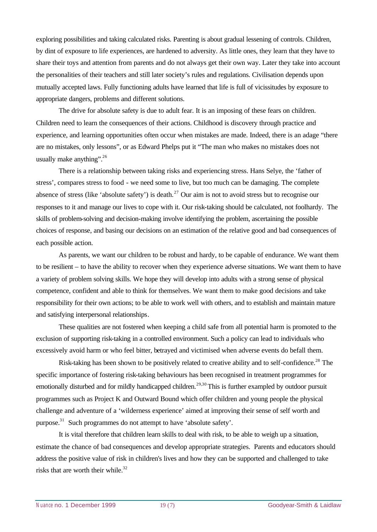exploring possibilities and taking calculated risks. Parenting is about gradual lessening of controls. Children, by dint of exposure to life experiences, are hardened to adversity. As little ones, they learn that they have to share their toys and attention from parents and do not always get their own way. Later they take into account the personalities of their teachers and still later society's rules and regulations. Civilisation depends upon mutually accepted laws. Fully functioning adults have learned that life is full of vicissitudes by exposure to appropriate dangers, problems and different solutions.

The drive for absolute safety is due to adult fear. It is an imposing of these fears on children. Children need to learn the consequences of their actions. Childhood is discovery through practice and experience, and learning opportunities often occur when mistakes are made. Indeed, there is an adage "there are no mistakes, only lessons", or as Edward Phelps put it "The man who makes no mistakes does not usually make anything".<sup>26</sup>

There is a relationship between taking risks and experiencing stress. Hans Selye, the 'father of stress', compares stress to food - we need some to live, but too much can be damaging. The complete absence of stress (like 'absolute safety') is death.<sup>27</sup> Our aim is not to avoid stress but to recognise our responses to it and manage our lives to cope with it. Our risk-taking should be calculated, not foolhardy. The skills of problem-solving and decision-making involve identifying the problem, ascertaining the possible choices of response, and basing our decisions on an estimation of the relative good and bad consequences of each possible action.

As parents, we want our children to be robust and hardy, to be capable of endurance. We want them to be resilient – to have the ability to recover when they experience adverse situations. We want them to have a variety of problem solving skills. We hope they will develop into adults with a strong sense of physical competence, confident and able to think for themselves. We want them to make good decisions and take responsibility for their own actions; to be able to work well with others, and to establish and maintain mature and satisfying interpersonal relationships.

These qualities are not fostered when keeping a child safe from all potential harm is promoted to the exclusion of supporting risk-taking in a controlled environment. Such a policy can lead to individuals who excessively avoid harm or who feel bitter, betrayed and victimised when adverse events do befall them.

Risk-taking has been shown to be positively related to creative ability and to self-confidence.<sup>28</sup> The specific importance of fostering risk-taking behaviours has been recognised in treatment programmes for emotionally disturbed and for mildly handicapped children.<sup>29,30</sup> This is further exampled by outdoor pursuit programmes such as Project K and Outward Bound which offer children and young people the physical challenge and adventure of a 'wilderness experience' aimed at improving their sense of self worth and purpose.<sup>31</sup> Such programmes do not attempt to have 'absolute safety'.

It is vital therefore that children learn skills to deal with risk, to be able to weigh up a situation, estimate the chance of bad consequences and develop appropriate strategies. Parents and educators should address the positive value of risk in children's lives and how they can be supported and challenged to take risks that are worth their while.<sup>32</sup>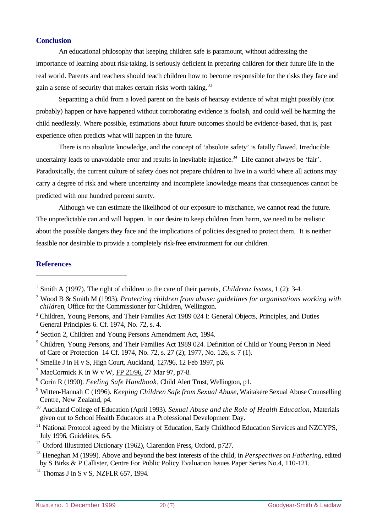## **Conclusion**

An educational philosophy that keeping children safe is paramount, without addressing the importance of learning about risk-taking, is seriously deficient in preparing children for their future life in the real world. Parents and teachers should teach children how to become responsible for the risks they face and gain a sense of security that makes certain risks worth taking.<sup>33</sup>

Separating a child from a loved parent on the basis of hearsay evidence of what might possibly (not probably) happen or have happened without corroborating evidence is foolish, and could well be harming the child needlessly. Where possible, estimations about future outcomes should be evidence-based, that is, past experience often predicts what will happen in the future.

There is no absolute knowledge, and the concept of 'absolute safety' is fatally flawed. Irreducible uncertainty leads to unavoidable error and results in inevitable injustice.<sup>34</sup> Life cannot always be 'fair'. Paradoxically, the current culture of safety does not prepare children to live in a world where all actions may carry a degree of risk and where uncertainty and incomplete knowledge means that consequences cannot be predicted with one hundred percent surety.

Although we can estimate the likelihood of our exposure to mischance, we cannot read the future. The unpredictable can and will happen. In our desire to keep children from harm, we need to be realistic about the possible dangers they face and the implications of policies designed to protect them. It is neither feasible nor desirable to provide a completely risk-free environment for our children.

## **References**

l

 $6$  Smellie J in H v S, High Court, Auckland,  $127/96$ , 12 Feb 1997, p6.

<sup>12</sup> Oxford Illustrated Dictionary (1962), Clarendon Press, Oxford, p727.

 $14$  Thomas J in S v S, NZFLR 657, 1994.

<sup>1</sup> Smith A (1997). The right of children to the care of their parents, *Childrenz Issues*, 1 (2): 3-4.

<sup>2</sup> Wood B & Smith M (1993). *Protecting children from abuse: guidelines for organisations working with childre*n, Office for the Commissioner for Children, Wellington.

<sup>&</sup>lt;sup>3</sup> Children, Young Persons, and Their Families Act 1989 024 I: General Objects, Principles, and Duties General Principles 6. Cf. 1974, No. 72, s. 4.

<sup>&</sup>lt;sup>4</sup> Section 2, Children and Young Persons Amendment Act, 1994.

<sup>&</sup>lt;sup>5</sup> Children, Young Persons, and Their Families Act 1989 024. Definition of Child or Young Person in Need of Care or Protection 14 Cf. 1974, No. 72, s. 27 (2); 1977, No. 126, s. 7 (1).

<sup>&</sup>lt;sup>7</sup> MacCormick K in W v W,  $FP$  21/96, 27 Mar 97, p7-8.

<sup>8</sup> Corin R (1990). *Feeling Safe Handbook*, Child Alert Trust, Wellington, p1.

<sup>9</sup> Witten-Hannah C (1996). *Keeping Children Safe from Sexual Abuse*, Waitakere Sexual Abuse Counselling Centre, New Zealand, p4.

<sup>10</sup> Auckland College of Education (April 1993). *Sexual Abuse and the Role of Health Education*, Materials given out to School Health Educators at a Professional Development Day.

 $11$  National Protocol agreed by the Ministry of Education, Early Childhood Education Services and NZCYPS, July 1996, Guidelines, 6-5.

<sup>13</sup> Heneghan M (1999). Above and beyond the best interests of the child, in *Perspectives on Fathering*, edited by S Birks & P Callister, Centre For Public Policy Evaluation Issues Paper Series No.4, 110-121.